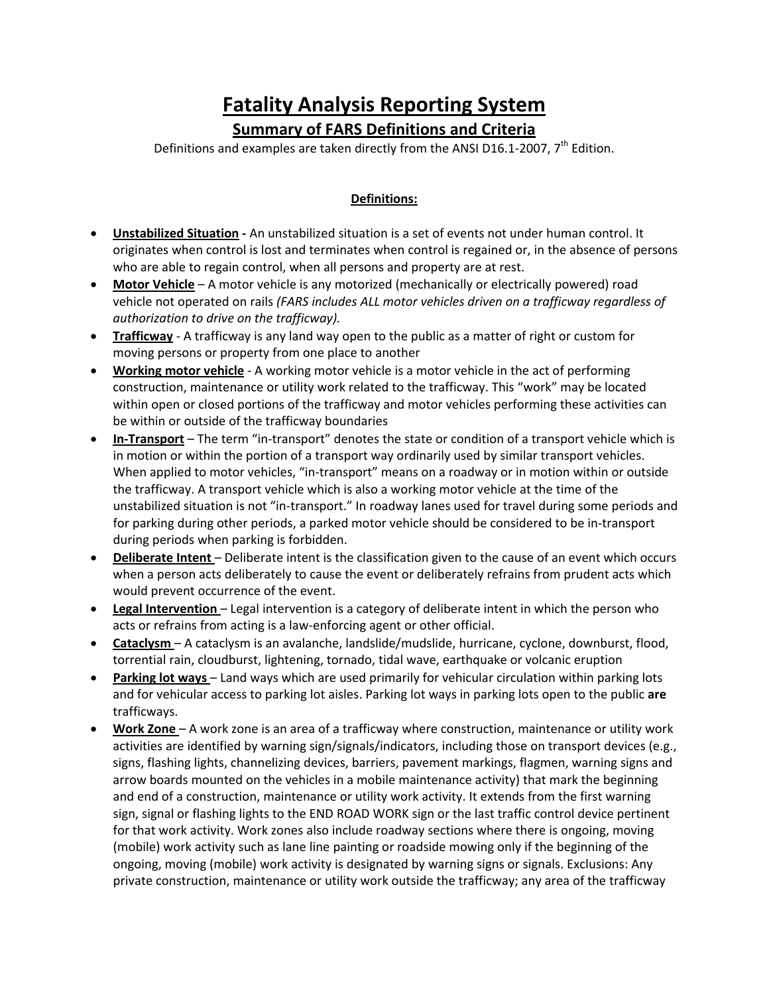# **Fatality Analysis Reporting System**

**Summary of FARS Definitions and Criteria**

Definitions and examples are taken directly from the ANSI D16.1-2007,  $7<sup>th</sup>$  Edition.

# **Definitions:**

- **Unstabilized Situation ‐** An unstabilized situation is a set of events not under human control. It originates when control is lost and terminates when control is regained or, in the absence of persons who are able to regain control, when all persons and property are at rest.
- **Motor Vehicle** A motor vehicle is any motorized (mechanically or electrically powered) road vehicle not operated on rails *(FARS includes ALL motor vehicles driven on a trafficway regardless of authorization to drive on the trafficway).*
- **Trafficway** A trafficway is any land way open to the public as a matter of right or custom for moving persons or property from one place to another
- **Working motor vehicle** ‐ A working motor vehicle is a motor vehicle in the act of performing construction, maintenance or utility work related to the trafficway. This "work" may be located within open or closed portions of the trafficway and motor vehicles performing these activities can be within or outside of the trafficway boundaries
- **In‐Transport** The term "in‐transport" denotes the state or condition of a transport vehicle which is in motion or within the portion of a transport way ordinarily used by similar transport vehicles. When applied to motor vehicles, "in-transport" means on a roadway or in motion within or outside the trafficway. A transport vehicle which is also a working motor vehicle at the time of the unstabilized situation is not "in‐transport." In roadway lanes used for travel during some periods and for parking during other periods, a parked motor vehicle should be considered to be in‐transport during periods when parking is forbidden.
- **Deliberate Intent** Deliberate intent is the classification given to the cause of an event which occurs when a person acts deliberately to cause the event or deliberately refrains from prudent acts which would prevent occurrence of the event.
- **Legal Intervention** Legal intervention is a category of deliberate intent in which the person who acts or refrains from acting is a law‐enforcing agent or other official.
- **Cataclysm** A cataclysm is an avalanche, landslide/mudslide, hurricane, cyclone, downburst, flood, torrential rain, cloudburst, lightening, tornado, tidal wave, earthquake or volcanic eruption
- **Parking lot ways** Land ways which are used primarily for vehicular circulation within parking lots and for vehicular access to parking lot aisles. Parking lot ways in parking lots open to the public **are** trafficways.
- **Work Zone** A work zone is an area of a trafficway where construction, maintenance or utility work activities are identified by warning sign/signals/indicators, including those on transport devices (e.g., signs, flashing lights, channelizing devices, barriers, pavement markings, flagmen, warning signs and arrow boards mounted on the vehicles in a mobile maintenance activity) that mark the beginning and end of a construction, maintenance or utility work activity. It extends from the first warning sign, signal or flashing lights to the END ROAD WORK sign or the last traffic control device pertinent for that work activity. Work zones also include roadway sections where there is ongoing, moving (mobile) work activity such as lane line painting or roadside mowing only if the beginning of the ongoing, moving (mobile) work activity is designated by warning signs or signals. Exclusions: Any private construction, maintenance or utility work outside the trafficway; any area of the trafficway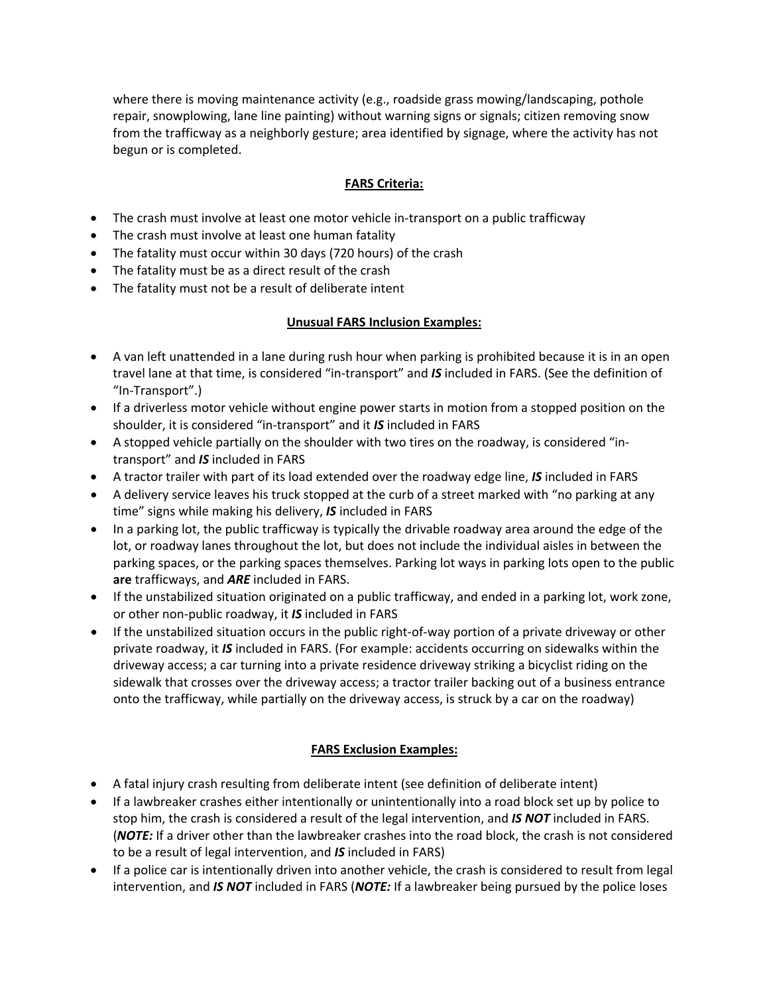where there is moving maintenance activity (e.g., roadside grass mowing/landscaping, pothole repair, snowplowing, lane line painting) without warning signs or signals; citizen removing snow from the trafficway as a neighborly gesture; area identified by signage, where the activity has not begun or is completed.

## **FARS Criteria:**

- The crash must involve at least one motor vehicle in-transport on a public trafficway
- The crash must involve at least one human fatality
- The fatality must occur within 30 days (720 hours) of the crash
- The fatality must be as a direct result of the crash
- The fatality must not be a result of deliberate intent

#### **Unusual FARS Inclusion Examples:**

- A van left unattended in a lane during rush hour when parking is prohibited because it is in an open travel lane at that time, is considered "in‐transport" and *IS* included in FARS. (See the definition of "In‐Transport".)
- If a driverless motor vehicle without engine power starts in motion from a stopped position on the shoulder, it is considered "in‐transport" and it *IS* included in FARS
- A stopped vehicle partially on the shoulder with two tires on the roadway, is considered "in‐ transport" and *IS* included in FARS
- A tractor trailer with part of its load extended over the roadway edge line, *IS* included in FARS
- A delivery service leaves his truck stopped at the curb of a street marked with "no parking at any time" signs while making his delivery, *IS* included in FARS
- In a parking lot, the public trafficway is typically the drivable roadway area around the edge of the lot, or roadway lanes throughout the lot, but does not include the individual aisles in between the parking spaces, or the parking spaces themselves. Parking lot ways in parking lots open to the public **are** trafficways, and *ARE* included in FARS.
- If the unstabilized situation originated on a public trafficway, and ended in a parking lot, work zone, or other non‐public roadway, it *IS* included in FARS
- If the unstabilized situation occurs in the public right-of-way portion of a private driveway or other private roadway, it *IS* included in FARS. (For example: accidents occurring on sidewalks within the driveway access; a car turning into a private residence driveway striking a bicyclist riding on the sidewalk that crosses over the driveway access; a tractor trailer backing out of a business entrance onto the trafficway, while partially on the driveway access, is struck by a car on the roadway)

## **FARS Exclusion Examples:**

- A fatal injury crash resulting from deliberate intent (see definition of deliberate intent)
- If a lawbreaker crashes either intentionally or unintentionally into a road block set up by police to stop him, the crash is considered a result of the legal intervention, and *IS NOT* included in FARS. (*NOTE:* If a driver other than the lawbreaker crashes into the road block, the crash is not considered to be a result of legal intervention, and *IS* included in FARS)
- If a police car is intentionally driven into another vehicle, the crash is considered to result from legal intervention, and *IS NOT* included in FARS (*NOTE:* If a lawbreaker being pursued by the police loses